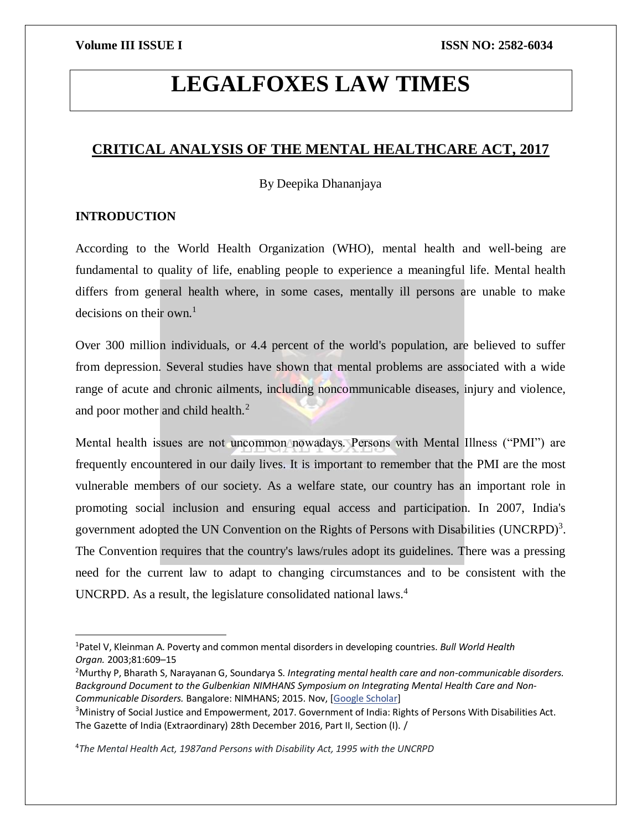# **LEGALFOXES LAW TIMES**

# **CRITICAL ANALYSIS OF THE MENTAL HEALTHCARE ACT, 2017**

By Deepika Dhananjaya

# **INTRODUCTION**

 $\overline{a}$ 

According to the World Health Organization (WHO), mental health and well-being are fundamental to quality of life, enabling people to experience a meaningful life. Mental health differs from general health where, in some cases, mentally ill persons are unable to make decisions on their own.<sup>1</sup>

Over 300 million individuals, or 4.4 percent of the world's population, are believed to suffer from depression. Several studies have shown that mental problems are associated with a wide range of acute and chronic ailments, including noncommunicable diseases, injury and violence, and poor mother and child health.<sup>2</sup>

Mental health issues are not uncommon nowadays. Persons with Mental Illness ("PMI") are frequently encountered in our daily lives. It is important to remember that the PMI are the most vulnerable members of our society. As a welfare state, our country has an important role in promoting social inclusion and ensuring equal access and participation. In 2007, India's government adopted the UN Convention on the Rights of Persons with Disabilities (UNCRPD)<sup>3</sup>. The Convention requires that the country's laws/rules adopt its guidelines. There was a pressing need for the current law to adapt to changing circumstances and to be consistent with the UNCRPD. As a result, the legislature consolidated national laws.<sup>4</sup>

<sup>4</sup>*The Mental Health Act, 1987and Persons with Disability Act, 1995 with the UNCRPD*

<sup>1</sup>Patel V, Kleinman A. Poverty and common mental disorders in developing countries. *Bull World Health Organ.* 2003;81:609–15

<sup>2</sup>Murthy P, Bharath S, Narayanan G, Soundarya S. *Integrating mental health care and non-communicable disorders. Background Document to the Gulbenkian NIMHANS Symposium on Integrating Mental Health Care and Non-Communicable Disorders.* Bangalore: NIMHANS; 2015. Nov, [\[Google Scholar\]](https://scholar.google.com/scholar_lookup?title=Integrating+mental+health+care+and+non-communicable+disorders.+Background+Document+to+the+Gulbenkian+NIMHANS+Symposium+on+Integrating+Mental+Health+Care+and+Non-Communicable+Disorders&author=P+Murthy&author=S+Bharath&author=G+Narayanan&author=S+Soundarya&publication_year=2015&)

<sup>3</sup>Ministry of Social Justice and Empowerment, 2017. Government of India: Rights of Persons With Disabilities Act. The Gazette of India (Extraordinary) 28th December 2016, Part II, Section (I). /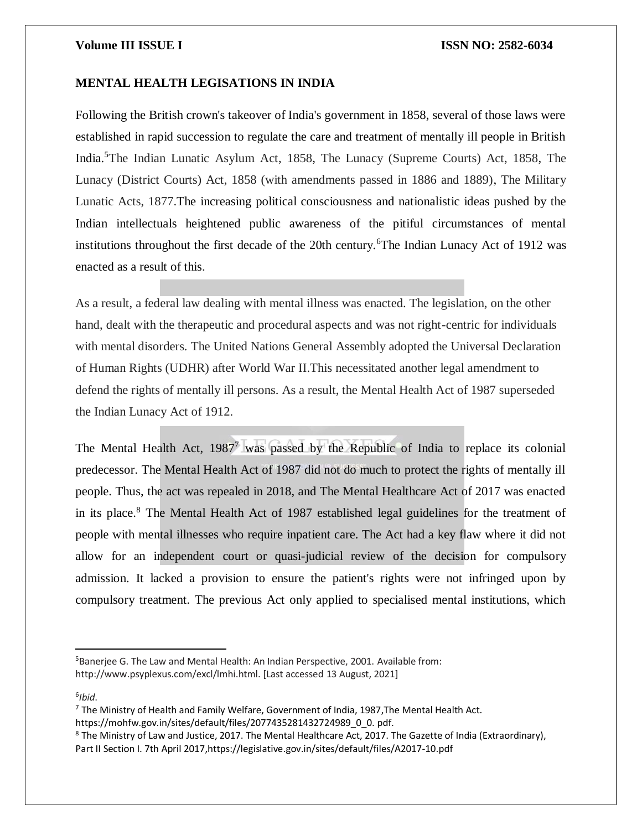# **MENTAL HEALTH LEGISATIONS IN INDIA**

Following the British crown's takeover of India's government in 1858, several of those laws were established in rapid succession to regulate the care and treatment of mentally ill people in British India.<sup>5</sup>The Indian Lunatic Asylum Act, 1858, The Lunacy (Supreme Courts) Act, 1858, The Lunacy (District Courts) Act, 1858 (with amendments passed in 1886 and 1889), The Military Lunatic Acts, 1877.The increasing political consciousness and nationalistic ideas pushed by the Indian intellectuals heightened public awareness of the pitiful circumstances of mental institutions throughout the first decade of the 20th century.<sup>6</sup>The Indian Lunacy Act of 1912 was enacted as a result of this.

As a result, a federal law dealing with mental illness was enacted. The legislation, on the other hand, dealt with the therapeutic and procedural aspects and was not right-centric for individuals with mental disorders. The United Nations General Assembly adopted the Universal Declaration of Human Rights (UDHR) after World War II.This necessitated another legal amendment to defend the rights of mentally ill persons. As a result, the Mental Health Act of 1987 superseded the Indian Lunacy Act of 1912.

The Mental Health Act,  $1987<sup>7</sup>$  was passed by the Republic of India to replace its colonial predecessor. The Mental Health Act of 1987 did not do much to protect the rights of mentally ill people. Thus, the act was repealed in 2018, and The Mental Healthcare Act of 2017 was enacted in its place.<sup>8</sup> The Mental Health Act of 1987 established legal guidelines for the treatment of people with mental illnesses who require inpatient care. The Act had a key flaw where it did not allow for an independent court or quasi-judicial review of the decision for compulsory admission. It lacked a provision to ensure the patient's rights were not infringed upon by compulsory treatment. The previous Act only applied to specialised mental institutions, which

6 *Ibid*.

 $\overline{a}$ 

https://mohfw.gov.in/sites/default/files/2077435281432724989\_0\_0. pdf.

<sup>5</sup>Banerjee G. The Law and Mental Health: An Indian Perspective, 2001. Available from: http://www.psyplexus.com/excl/lmhi.html. [Last accessed 13 August, 2021]

 $7$  The Ministry of Health and Family Welfare, Government of India, 1987, The Mental Health Act.

<sup>8</sup> The Ministry of Law and Justice, 2017. The Mental Healthcare Act, 2017. The Gazette of India (Extraordinary), Part II Section I. 7th April 2017,https://legislative.gov.in/sites/default/files/A2017-10.pdf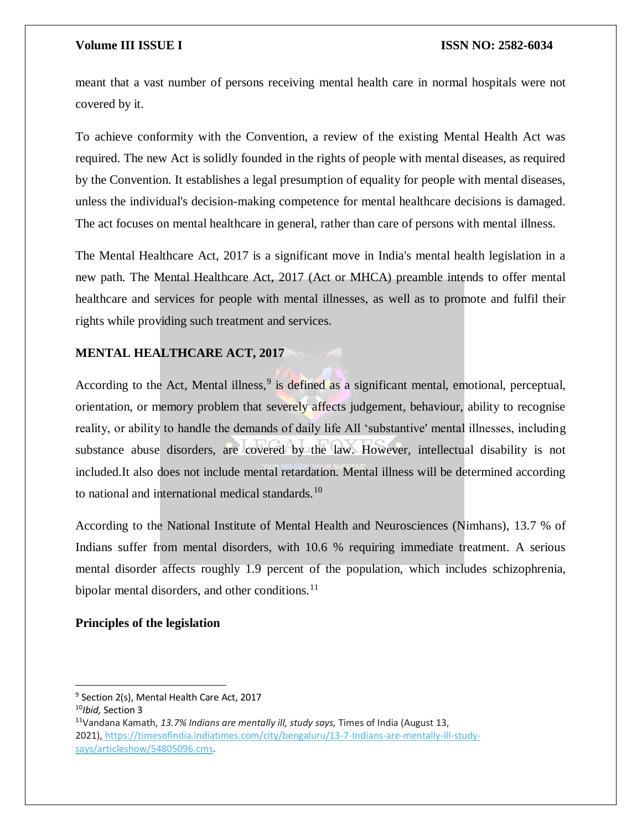meant that a vast number of persons receiving mental health care in normal hospitals were not covered by it.

To achieve conformity with the Convention, a review of the existing Mental Health Act was required. The new Act is solidly founded in the rights of people with mental diseases, as required by the Convention. It establishes a legal presumption of equality for people with mental diseases, unless the individual's decision-making competence for mental healthcare decisions is damaged. The act focuses on mental healthcare in general, rather than care of persons with mental illness.

The Mental Healthcare Act, 2017 is a significant move in India's mental health legislation in a new path. The Mental Healthcare Act, 2017 (Act or MHCA) preamble intends to offer mental healthcare and services for people with mental illnesses, as well as to promote and fulfil their rights while providing such treatment and services.

# **MENTAL HEALTHCARE ACT, 2017**

According to the Act, Mental illness,<sup>9</sup> is defined as a significant mental, emotional, perceptual, orientation, or memory problem that severely affects judgement, behaviour, ability to recognise reality, or ability to handle the demands of daily life All 'substantive' mental illnesses, including substance abuse disorders, are covered by the law. However, intellectual disability is not included.It also does not include mental retardation. Mental illness will be determined according to national and international medical standards.<sup>10</sup>

According to the National Institute of Mental Health and Neurosciences (Nimhans), 13.7 % of Indians suffer from mental disorders, with 10.6 % requiring immediate treatment. A serious mental disorder affects roughly 1.9 percent of the population, which includes schizophrenia, bipolar mental disorders, and other conditions. $^{11}$ 

# **Principles of the legislation**

 $\overline{\phantom{a}}$ 

<sup>&</sup>lt;sup>9</sup> Section 2(s), Mental Health Care Act, 2017

<sup>10</sup>*Ibid,* Section 3

<sup>11</sup>Vandana Kamath, *13.7% Indians are mentally ill, study says,* Times of India (August 13, 2021), [https://timesofindia.indiatimes.com/city/bengaluru/13-7-Indians-are-mentally-ill-study](https://timesofindia.indiatimes.com/city/bengaluru/13-7-Indians-are-mentally-ill-study-says/articleshow/54805096.cms)[says/articleshow/54805096.cms.](https://timesofindia.indiatimes.com/city/bengaluru/13-7-Indians-are-mentally-ill-study-says/articleshow/54805096.cms)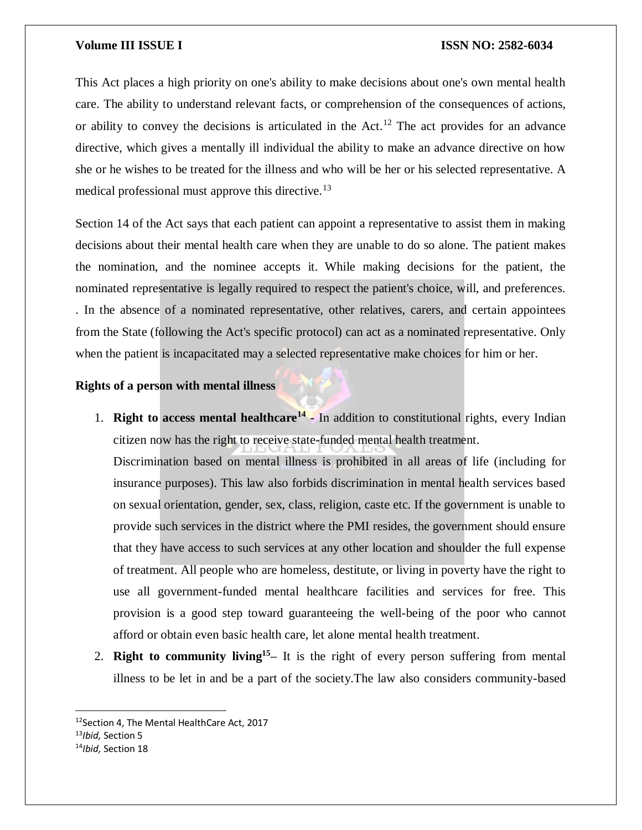This Act places a high priority on one's ability to make decisions about one's own mental health care. The ability to understand relevant facts, or comprehension of the consequences of actions, or ability to convey the decisions is articulated in the Act.<sup>12</sup> The act provides for an advance directive, which gives a mentally ill individual the ability to make an advance directive on how she or he wishes to be treated for the illness and who will be her or his selected representative. A medical professional must approve this directive.<sup>13</sup>

Section 14 of the Act says that each patient can appoint a representative to assist them in making decisions about their mental health care when they are unable to do so alone. The patient makes the nomination, and the nominee accepts it. While making decisions for the patient, the nominated representative is legally required to respect the patient's choice, will, and preferences. . In the absence of a nominated representative, other relatives, carers, and certain appointees from the State (following the Act's specific protocol) can act as a nominated representative. Only when the patient is incapacitated may a selected representative make choices for him or her.

### **Rights of a person with mental illness**

1. **Right to access mental healthcare<sup>14</sup> -** In addition to constitutional rights, every Indian citizen now has the right to receive state-funded mental health treatment.

Discrimination based on mental illness is prohibited in all areas of life (including for insurance purposes). This law also forbids discrimination in mental health services based on sexual orientation, gender, sex, class, religion, caste etc. If the government is unable to provide such services in the district where the PMI resides, the government should ensure that they have access to such services at any other location and shoulder the full expense of treatment. All people who are homeless, destitute, or living in poverty have the right to use all government-funded mental healthcare facilities and services for free. This provision is a good step toward guaranteeing the well-being of the poor who cannot afford or obtain even basic health care, let alone mental health treatment.

2. **Right to community living<sup>15</sup> –** It is the right of every person suffering from mental illness to be let in and be a part of the society.The law also considers community-based

 $\overline{a}$ 

<sup>12</sup>Section 4, The Mental HealthCare Act, 2017

<sup>13</sup>*Ibid,* Section 5

<sup>14</sup>*Ibid,* Section 18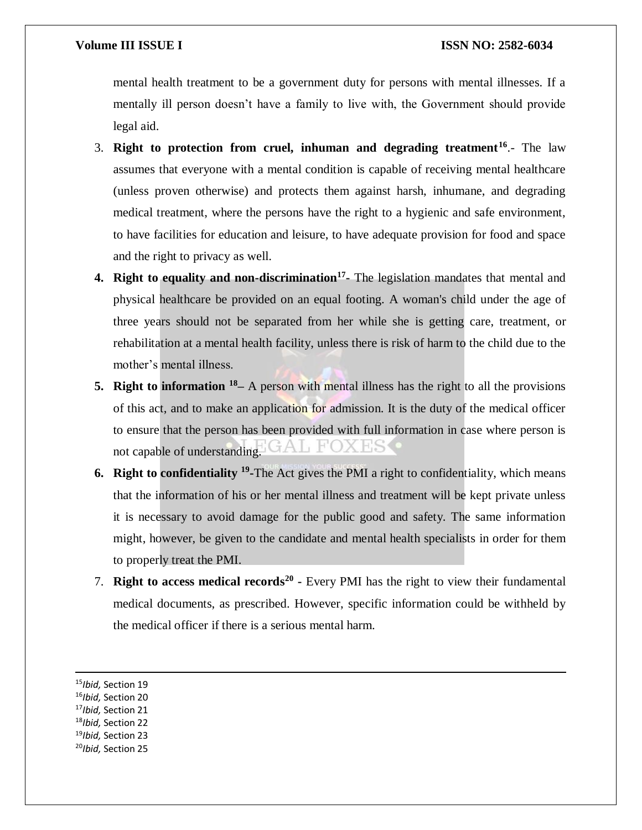mental health treatment to be a government duty for persons with mental illnesses. If a mentally ill person doesn't have a family to live with, the Government should provide legal aid.

- 3. **Right to protection from cruel, inhuman and degrading treatment<sup>16</sup>** .- The law assumes that everyone with a mental condition is capable of receiving mental healthcare (unless proven otherwise) and protects them against harsh, inhumane, and degrading medical treatment, where the persons have the right to a hygienic and safe environment, to have facilities for education and leisure, to have adequate provision for food and space and the right to privacy as well.
- **4. Right to equality and non-discrimination<sup>17</sup> -** The legislation mandates that mental and physical healthcare be provided on an equal footing. A woman's child under the age of three years should not be separated from her while she is getting care, treatment, or rehabilitation at a mental health facility, unless there is risk of harm to the child due to the mother's mental illness.
- **5. Right to information** <sup>18</sup> A person with mental illness has the right to all the provisions of this act, and to make an application for admission. It is the duty of the medical officer to ensure that the person has been provided with full information in case where person is not capable of understanding.
- **6.** Right to confidentiality <sup>19</sup>-The Act gives the PMI a right to confidentiality, which means that the information of his or her mental illness and treatment will be kept private unless it is necessary to avoid damage for the public good and safety. The same information might, however, be given to the candidate and mental health specialists in order for them to properly treat the PMI.
- 7. **Right to access medical records<sup>20</sup> -** Every PMI has the right to view their fundamental medical documents, as prescribed. However, specific information could be withheld by the medical officer if there is a serious mental harm.

 $\overline{\phantom{a}}$ 

<sup>19</sup>*Ibid,* Section 23

<sup>15</sup>*Ibid,* Section 19

<sup>16</sup>*Ibid,* Section 20

<sup>17</sup>*Ibid,* Section 21

<sup>18</sup>*Ibid,* Section 22

<sup>20</sup>*Ibid,* Section 25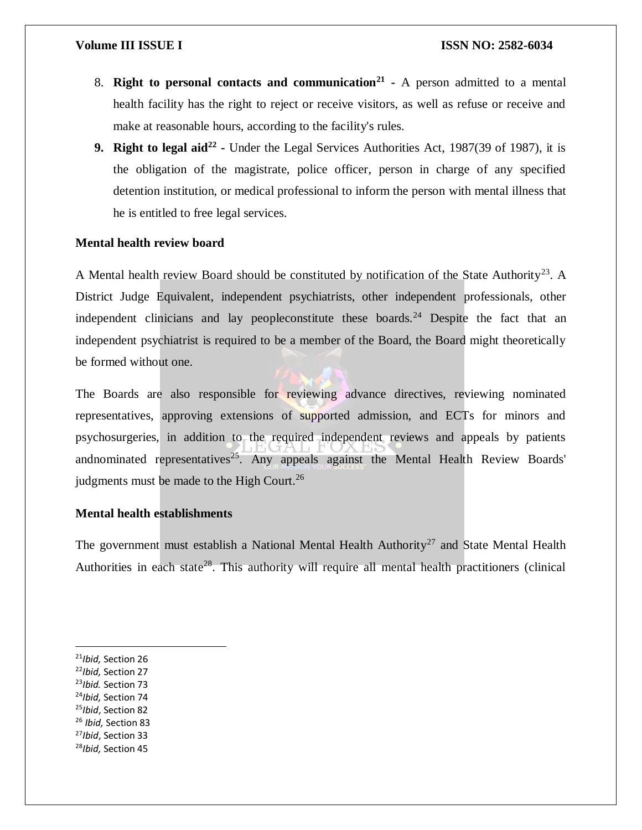- 8. **Right to personal contacts and communication<sup>21</sup> -** A person admitted to a mental health facility has the right to reject or receive visitors, as well as refuse or receive and make at reasonable hours, according to the facility's rules.
- **9. Right to legal aid<sup>22</sup>** Under the Legal Services Authorities Act, 1987(39 of 1987), it is the obligation of the magistrate, police officer, person in charge of any specified detention institution, or medical professional to inform the person with mental illness that he is entitled to free legal services.

# **Mental health review board**

A Mental health review Board should be constituted by notification of the State Authority<sup>23</sup>. A District Judge Equivalent, independent psychiatrists, other independent professionals, other independent clinicians and lay peopleconstitute these boards.<sup>24</sup> Despite the fact that an independent psychiatrist is required to be a member of the Board, the Board might theoretically be formed without one.

The Boards are also responsible for reviewing advance directives, reviewing nominated representatives, approving extensions of supported admission, and ECTs for minors and psychosurgeries, in addition to the required independent reviews and appeals by patients andnominated representatives<sup>25</sup>. Any appeals against the Mental Health Review Boards' judgments must be made to the High Court.<sup>26</sup>

# **Mental health establishments**

The government must establish a National Mental Health Authority<sup>27</sup> and State Mental Health Authorities in each state<sup>28</sup>. This authority will require all mental health practitioners (clinical

 $\overline{\phantom{a}}$ 

- <sup>23</sup>*Ibid.* Section 73
- <sup>24</sup>*Ibid,* Section 74
- <sup>25</sup>*Ibid*, Section 82
- <sup>26</sup> *Ibid,* Section 83
- <sup>27</sup>*Ibid*, Section 33
- 28*Ibid,* Section 45

<sup>21</sup>*Ibid,* Section 26

<sup>22</sup>*Ibid,* Section 27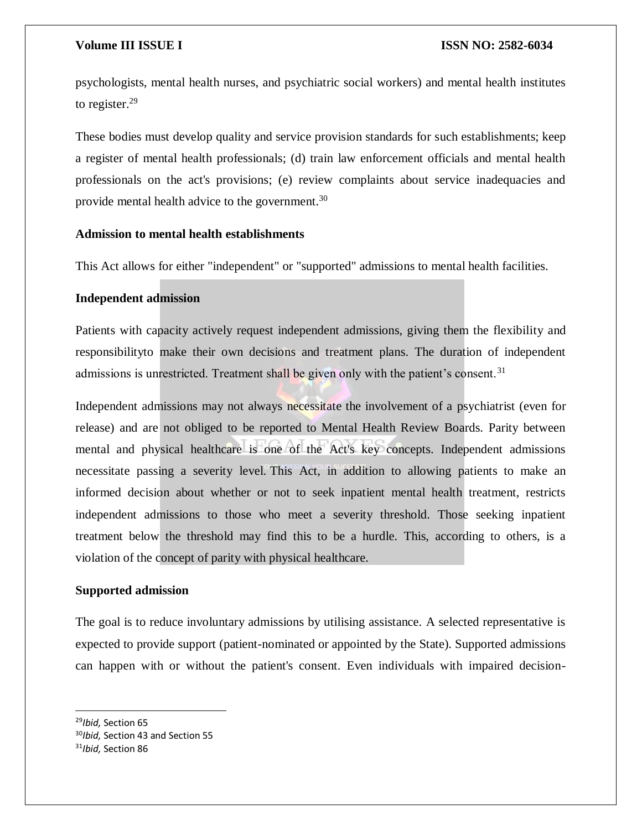psychologists, mental health nurses, and psychiatric social workers) and mental health institutes to register.<sup>29</sup>

These bodies must develop quality and service provision standards for such establishments; keep a register of mental health professionals; (d) train law enforcement officials and mental health professionals on the act's provisions; (e) review complaints about service inadequacies and provide mental health advice to the government.<sup>30</sup>

# **Admission to mental health establishments**

This Act allows for either "independent" or "supported" admissions to mental health facilities.

# **Independent admission**

Patients with capacity actively request independent admissions, giving them the flexibility and responsibilityto make their own decisions and treatment plans. The duration of independent admissions is unrestricted. Treatment shall be given only with the patient's consent.<sup>31</sup>

Independent admissions may not always necessitate the involvement of a psychiatrist (even for release) and are not obliged to be reported to Mental Health Review Boards. Parity between mental and physical healthcare is one of the Act's key concepts. Independent admissions necessitate passing a severity level. This Act, in addition to allowing patients to make an informed decision about whether or not to seek inpatient mental health treatment, restricts independent admissions to those who meet a severity threshold. Those seeking inpatient treatment below the threshold may find this to be a hurdle. This, according to others, is a violation of the concept of parity with physical healthcare.

# **Supported admission**

The goal is to reduce involuntary admissions by utilising assistance. A selected representative is expected to provide support (patient-nominated or appointed by the State). Supported admissions can happen with or without the patient's consent. Even individuals with impaired decision-

 $\overline{a}$ 

<sup>29</sup>*Ibid,* Section 65 <sup>30</sup>*Ibid,* Section 43 and Section 55 <sup>31</sup>*Ibid,* Section 86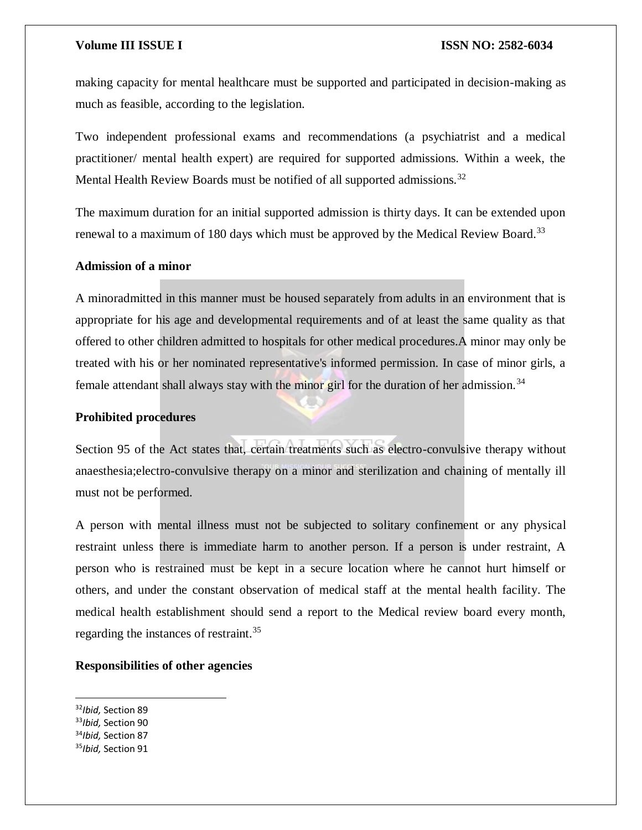making capacity for mental healthcare must be supported and participated in decision-making as much as feasible, according to the legislation.

Two independent professional exams and recommendations (a psychiatrist and a medical practitioner/ mental health expert) are required for supported admissions. Within a week, the Mental Health Review Boards must be notified of all supported admissions.<sup>32</sup>

The maximum duration for an initial supported admission is thirty days. It can be extended upon renewal to a maximum of 180 days which must be approved by the Medical Review Board.<sup>33</sup>

# **Admission of a minor**

A minoradmitted in this manner must be housed separately from adults in an environment that is appropriate for his age and developmental requirements and of at least the same quality as that offered to other children admitted to hospitals for other medical procedures.A minor may only be treated with his or her nominated representative's informed permission. In case of minor girls, a female attendant shall always stay with the minor girl for the duration of her admission.<sup>34</sup>

### **Prohibited procedures**

Section 95 of the Act states that, certain treatments such as electro-convulsive therapy without anaesthesia;electro-convulsive therapy on a minor and sterilization and chaining of mentally ill must not be performed.

A person with mental illness must not be subjected to solitary confinement or any physical restraint unless there is immediate harm to another person. If a person is under restraint, A person who is restrained must be kept in a secure location where he cannot hurt himself or others, and under the constant observation of medical staff at the mental health facility. The medical health establishment should send a report to the Medical review board every month, regarding the instances of restraint.<sup>35</sup>

### **Responsibilities of other agencies**

<sup>32</sup>*Ibid,* Section 89

 $\overline{a}$ 

- <sup>33</sup>*Ibid,* Section 90
- <sup>34</sup>*Ibid,* Section 87
- 35*Ibid,* Section 91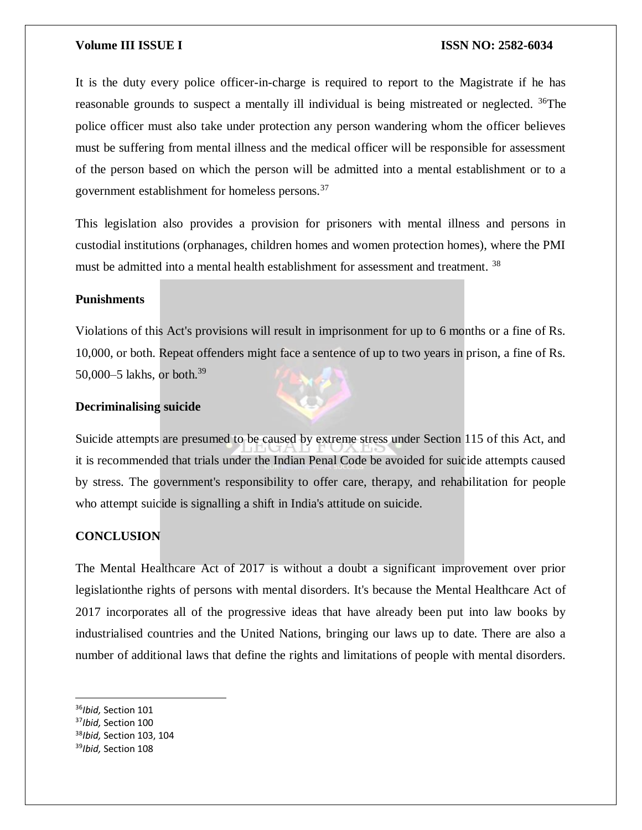It is the duty every police officer-in-charge is required to report to the Magistrate if he has reasonable grounds to suspect a mentally ill individual is being mistreated or neglected. <sup>36</sup>The police officer must also take under protection any person wandering whom the officer believes must be suffering from mental illness and the medical officer will be responsible for assessment of the person based on which the person will be admitted into a mental establishment or to a government establishment for homeless persons.<sup>37</sup>

This legislation also provides a provision for prisoners with mental illness and persons in custodial institutions (orphanages, children homes and women protection homes), where the PMI must be admitted into a mental health establishment for assessment and treatment.<sup>38</sup>

# **Punishments**

Violations of this Act's provisions will result in imprisonment for up to 6 months or a fine of Rs. 10,000, or both. Repeat offenders might face a sentence of up to two years in prison, a fine of Rs. 50,000–5 lakhs, or both.<sup>39</sup>

# **Decriminalising suicide**

Suicide attempts are presumed to be caused by extreme stress under Section 115 of this Act, and it is recommended that trials under the Indian Penal Code be avoided for suicide attempts caused by stress. The government's responsibility to offer care, therapy, and rehabilitation for people who attempt suicide is signalling a shift in India's attitude on suicide.

# **CONCLUSION**

The Mental Healthcare Act of 2017 is without a doubt a significant improvement over prior legislationthe rights of persons with mental disorders. It's because the Mental Healthcare Act of 2017 incorporates all of the progressive ideas that have already been put into law books by industrialised countries and the United Nations, bringing our laws up to date. There are also a number of additional laws that define the rights and limitations of people with mental disorders.

 $\overline{a}$ <sup>36</sup>*Ibid,* Section 101

<sup>37</sup>*Ibid,* Section 100

<sup>38</sup>*Ibid,* Section 103, 104

<sup>39</sup>*Ibid,* Section 108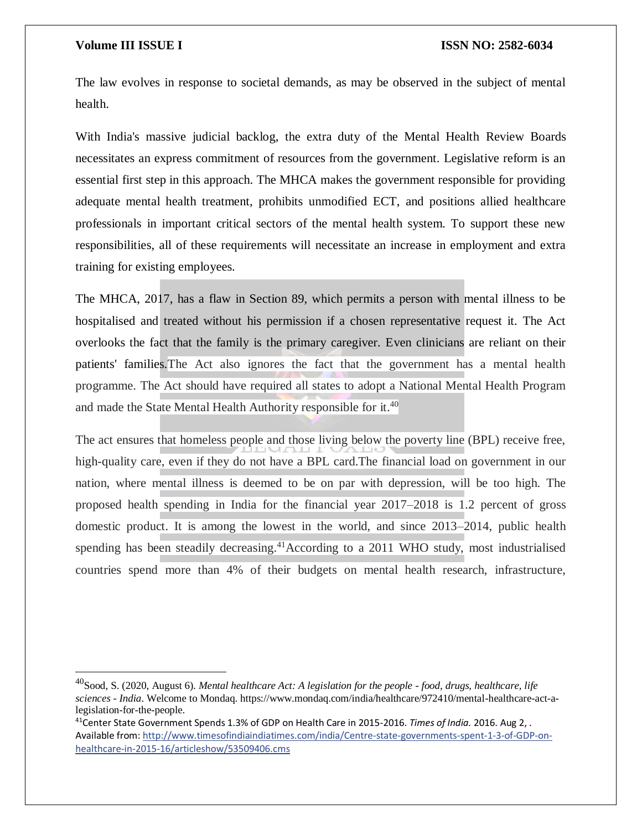$\overline{a}$ 

The law evolves in response to societal demands, as may be observed in the subject of mental health.

With India's massive judicial backlog, the extra duty of the Mental Health Review Boards necessitates an express commitment of resources from the government. Legislative reform is an essential first step in this approach. The MHCA makes the government responsible for providing adequate mental health treatment, prohibits unmodified ECT, and positions allied healthcare professionals in important critical sectors of the mental health system. To support these new responsibilities, all of these requirements will necessitate an increase in employment and extra training for existing employees.

The MHCA, 2017, has a flaw in Section 89, which permits a person with mental illness to be hospitalised and treated without his permission if a chosen representative request it. The Act overlooks the fact that the family is the primary caregiver. Even clinicians are reliant on their patients' families.The Act also ignores the fact that the government has a mental health programme. The Act should have required all states to adopt a National Mental Health Program and made the State Mental Health Authority responsible for it.<sup>40</sup>

The act ensures that homeless people and those living below the poverty line (BPL) receive free, high-quality care, even if they do not have a BPL card.The financial load on government in our nation, where mental illness is deemed to be on par with depression, will be too high. The proposed health spending in India for the financial year 2017–2018 is 1.2 percent of gross domestic product. It is among the lowest in the world, and since 2013–2014, public health spending has been steadily decreasing.<sup>41</sup>According to a 2011 WHO study, most industrialised countries spend more than 4% of their budgets on mental health research, infrastructure,

<sup>40</sup>Sood, S. (2020, August 6). *Mental healthcare Act: A legislation for the people - food, drugs, healthcare, life sciences - India*. Welcome to Mondaq. https://www.mondaq.com/india/healthcare/972410/mental-healthcare-act-alegislation-for-the-people.

<sup>41</sup>Center State Government Spends 1.3% of GDP on Health Care in 2015-2016. *Times of India.* 2016. Aug 2, . Available from: [http://www.timesofindiaindiatimes.com/india/Centre-state-governments-spent-1-3-of-GDP-on](http://www.timesofindiaindiatimes.com/india/Centre-state-governments-spent-1-3-of-GDP-on-healthcare-in-2015-16/articleshow/53509406.cms)[healthcare-in-2015-16/articleshow/53509406.cms](http://www.timesofindiaindiatimes.com/india/Centre-state-governments-spent-1-3-of-GDP-on-healthcare-in-2015-16/articleshow/53509406.cms)